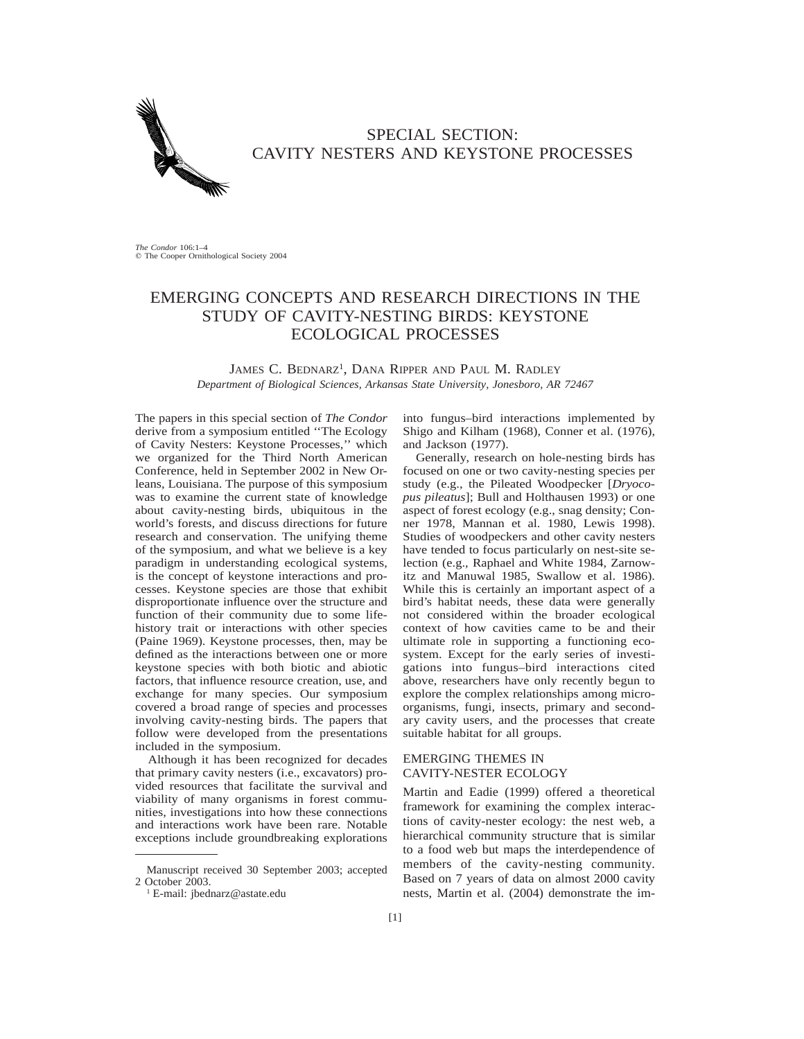

## SPECIAL SECTION: CAVITY NESTERS AND KEYSTONE PROCESSES

*The Condor* 106:1–4<br>© The Cooper Ornithological Society 2004

# EMERGING CONCEPTS AND RESEARCH DIRECTIONS IN THE STUDY OF CAVITY-NESTING BIRDS: KEYSTONE ECOLOGICAL PROCESSES

JAMES C. BEDNARZ<sup>1</sup>, DANA RIPPER AND PAUL M. RADLEY *Department of Biological Sciences, Arkansas State University, Jonesboro, AR 72467*

The papers in this special section of *The Condor* derive from a symposium entitled ''The Ecology of Cavity Nesters: Keystone Processes,'' which we organized for the Third North American Conference, held in September 2002 in New Orleans, Louisiana. The purpose of this symposium was to examine the current state of knowledge about cavity-nesting birds, ubiquitous in the world's forests, and discuss directions for future research and conservation. The unifying theme of the symposium, and what we believe is a key paradigm in understanding ecological systems, is the concept of keystone interactions and processes. Keystone species are those that exhibit disproportionate influence over the structure and function of their community due to some lifehistory trait or interactions with other species (Paine 1969). Keystone processes, then, may be defined as the interactions between one or more keystone species with both biotic and abiotic factors, that influence resource creation, use, and exchange for many species. Our symposium covered a broad range of species and processes involving cavity-nesting birds. The papers that follow were developed from the presentations included in the symposium.

Although it has been recognized for decades that primary cavity nesters (i.e., excavators) provided resources that facilitate the survival and viability of many organisms in forest communities, investigations into how these connections and interactions work have been rare. Notable exceptions include groundbreaking explorations into fungus–bird interactions implemented by Shigo and Kilham (1968), Conner et al. (1976), and Jackson (1977).

Generally, research on hole-nesting birds has focused on one or two cavity-nesting species per study (e.g., the Pileated Woodpecker [*Dryocopus pileatus*]; Bull and Holthausen 1993) or one aspect of forest ecology (e.g., snag density; Conner 1978, Mannan et al. 1980, Lewis 1998). Studies of woodpeckers and other cavity nesters have tended to focus particularly on nest-site selection (e.g., Raphael and White 1984, Zarnowitz and Manuwal 1985, Swallow et al. 1986). While this is certainly an important aspect of a bird's habitat needs, these data were generally not considered within the broader ecological context of how cavities came to be and their ultimate role in supporting a functioning ecosystem. Except for the early series of investigations into fungus–bird interactions cited above, researchers have only recently begun to explore the complex relationships among microorganisms, fungi, insects, primary and secondary cavity users, and the processes that create suitable habitat for all groups.

### EMERGING THEMES IN CAVITY-NESTER ECOLOGY

Martin and Eadie (1999) offered a theoretical framework for examining the complex interactions of cavity-nester ecology: the nest web, a hierarchical community structure that is similar to a food web but maps the interdependence of members of the cavity-nesting community. Based on 7 years of data on almost 2000 cavity nests, Martin et al. (2004) demonstrate the im-

Manuscript received 30 September 2003; accepted 2 October 2003.

<sup>1</sup> E-mail: jbednarz@astate.edu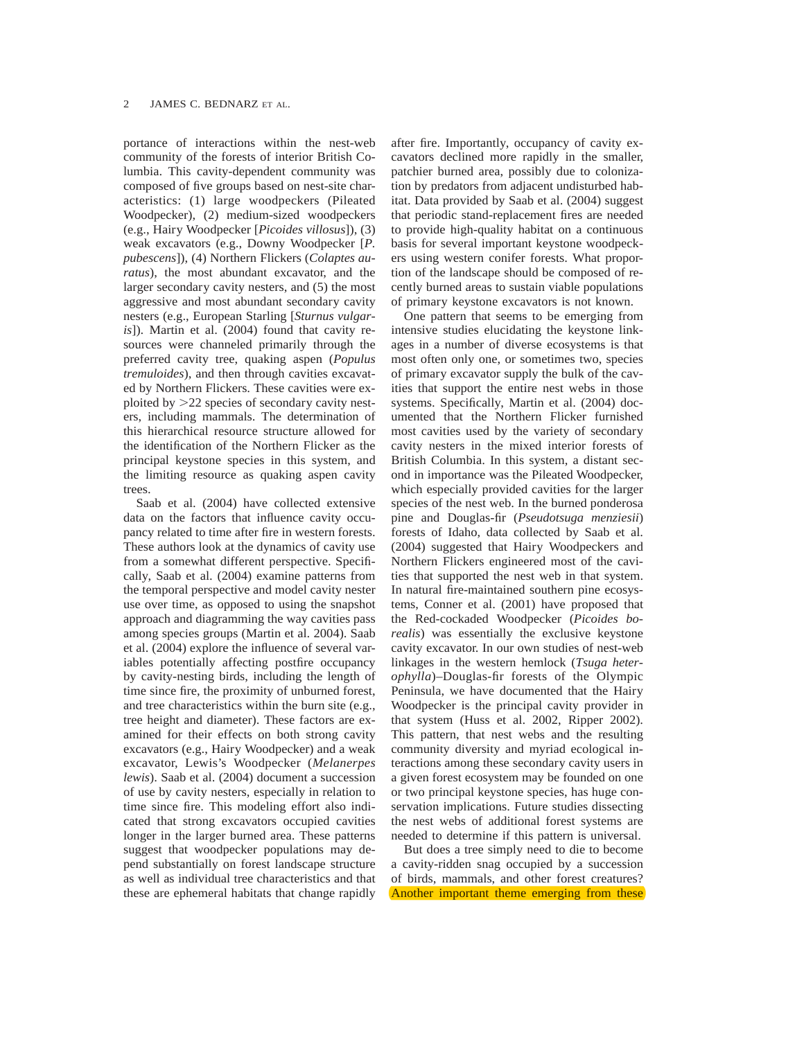portance of interactions within the nest-web community of the forests of interior British Columbia. This cavity-dependent community was composed of five groups based on nest-site characteristics: (1) large woodpeckers (Pileated Woodpecker), (2) medium-sized woodpeckers (e.g., Hairy Woodpecker [*Picoides villosus*]), (3) weak excavators (e.g., Downy Woodpecker [*P. pubescens*]), (4) Northern Flickers (*Colaptes auratus*), the most abundant excavator, and the larger secondary cavity nesters, and (5) the most aggressive and most abundant secondary cavity nesters (e.g., European Starling [*Sturnus vulgaris*]). Martin et al. (2004) found that cavity resources were channeled primarily through the preferred cavity tree, quaking aspen (*Populus tremuloides*), and then through cavities excavated by Northern Flickers. These cavities were exploited by  $>22$  species of secondary cavity nesters, including mammals. The determination of this hierarchical resource structure allowed for the identification of the Northern Flicker as the principal keystone species in this system, and the limiting resource as quaking aspen cavity trees

Saab et al. (2004) have collected extensive data on the factors that influence cavity occupancy related to time after fire in western forests. These authors look at the dynamics of cavity use from a somewhat different perspective. Specifically, Saab et al. (2004) examine patterns from the temporal perspective and model cavity nester use over time, as opposed to using the snapshot approach and diagramming the way cavities pass among species groups (Martin et al. 2004). Saab et al. (2004) explore the influence of several variables potentially affecting postfire occupancy by cavity-nesting birds, including the length of time since fire, the proximity of unburned forest, and tree characteristics within the burn site (e.g., tree height and diameter). These factors are examined for their effects on both strong cavity excavators (e.g., Hairy Woodpecker) and a weak excavator, Lewis's Woodpecker (*Melanerpes lewis*). Saab et al. (2004) document a succession of use by cavity nesters, especially in relation to time since fire. This modeling effort also indicated that strong excavators occupied cavities longer in the larger burned area. These patterns suggest that woodpecker populations may depend substantially on forest landscape structure as well as individual tree characteristics and that these are ephemeral habitats that change rapidly after fire. Importantly, occupancy of cavity excavators declined more rapidly in the smaller, patchier burned area, possibly due to colonization by predators from adjacent undisturbed habitat. Data provided by Saab et al. (2004) suggest that periodic stand-replacement fires are needed to provide high-quality habitat on a continuous basis for several important keystone woodpeckers using western conifer forests. What proportion of the landscape should be composed of recently burned areas to sustain viable populations of primary keystone excavators is not known.

One pattern that seems to be emerging from intensive studies elucidating the keystone linkages in a number of diverse ecosystems is that most often only one, or sometimes two, species of primary excavator supply the bulk of the cavities that support the entire nest webs in those systems. Specifically, Martin et al. (2004) documented that the Northern Flicker furnished most cavities used by the variety of secondary cavity nesters in the mixed interior forests of British Columbia. In this system, a distant second in importance was the Pileated Woodpecker, which especially provided cavities for the larger species of the nest web. In the burned ponderosa pine and Douglas-fir (*Pseudotsuga menziesii*) forests of Idaho, data collected by Saab et al. (2004) suggested that Hairy Woodpeckers and Northern Flickers engineered most of the cavities that supported the nest web in that system. In natural fire-maintained southern pine ecosystems, Conner et al. (2001) have proposed that the Red-cockaded Woodpecker (*Picoides borealis*) was essentially the exclusive keystone cavity excavator. In our own studies of nest-web linkages in the western hemlock (*Tsuga heterophylla*)–Douglas-fir forests of the Olympic Peninsula, we have documented that the Hairy Woodpecker is the principal cavity provider in that system (Huss et al. 2002, Ripper 2002). This pattern, that nest webs and the resulting community diversity and myriad ecological interactions among these secondary cavity users in a given forest ecosystem may be founded on one or two principal keystone species, has huge conservation implications. Future studies dissecting the nest webs of additional forest systems are needed to determine if this pattern is universal.

But does a tree simply need to die to become a cavity-ridden snag occupied by a succession of birds, mammals, and other forest creatures? Another important theme emerging from these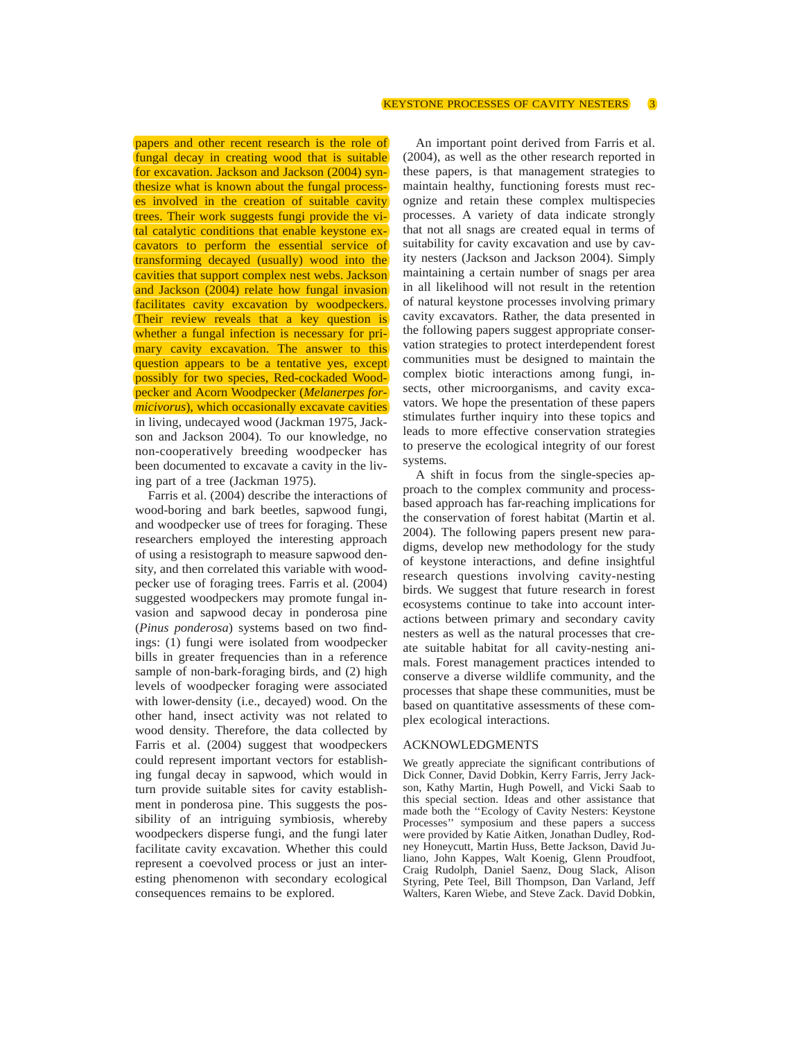papers and other recent research is the role of fungal decay in creating wood that is suitable for excavation. Jackson and Jackson (2004) synthesize what is known about the fungal processes involved in the creation of suitable cavity trees. Their work suggests fungi provide the vital catalytic conditions that enable keystone excavators to perform the essential service of transforming decayed (usually) wood into the cavities that support complex nest webs. Jackson and Jackson (2004) relate how fungal invasion facilitates cavity excavation by woodpeckers. Their review reveals that a key question is whether a fungal infection is necessary for primary cavity excavation. The answer to this question appears to be a tentative yes, except possibly for two species, Red-cockaded Woodpecker and Acorn Woodpecker (*Melanerpes formicivorus*), which occasionally excavate cavities in living, undecayed wood (Jackman 1975, Jackson and Jackson 2004). To our knowledge, no non-cooperatively breeding woodpecker has been documented to excavate a cavity in the living part of a tree (Jackman 1975).

Farris et al. (2004) describe the interactions of wood-boring and bark beetles, sapwood fungi, and woodpecker use of trees for foraging. These researchers employed the interesting approach of using a resistograph to measure sapwood density, and then correlated this variable with woodpecker use of foraging trees. Farris et al. (2004) suggested woodpeckers may promote fungal invasion and sapwood decay in ponderosa pine (*Pinus ponderosa*) systems based on two findings: (1) fungi were isolated from woodpecker bills in greater frequencies than in a reference sample of non-bark-foraging birds, and (2) high levels of woodpecker foraging were associated with lower-density (i.e., decayed) wood. On the other hand, insect activity was not related to wood density. Therefore, the data collected by Farris et al. (2004) suggest that woodpeckers could represent important vectors for establishing fungal decay in sapwood, which would in turn provide suitable sites for cavity establishment in ponderosa pine. This suggests the possibility of an intriguing symbiosis, whereby woodpeckers disperse fungi, and the fungi later facilitate cavity excavation. Whether this could represent a coevolved process or just an interesting phenomenon with secondary ecological consequences remains to be explored.

An important point derived from Farris et al. (2004), as well as the other research reported in these papers, is that management strategies to maintain healthy, functioning forests must recognize and retain these complex multispecies processes. A variety of data indicate strongly that not all snags are created equal in terms of suitability for cavity excavation and use by cavity nesters (Jackson and Jackson 2004). Simply maintaining a certain number of snags per area in all likelihood will not result in the retention of natural keystone processes involving primary cavity excavators. Rather, the data presented in the following papers suggest appropriate conservation strategies to protect interdependent forest communities must be designed to maintain the complex biotic interactions among fungi, insects, other microorganisms, and cavity excavators. We hope the presentation of these papers stimulates further inquiry into these topics and leads to more effective conservation strategies to preserve the ecological integrity of our forest systems.

A shift in focus from the single-species approach to the complex community and processbased approach has far-reaching implications for the conservation of forest habitat (Martin et al. 2004). The following papers present new paradigms, develop new methodology for the study of keystone interactions, and define insightful research questions involving cavity-nesting birds. We suggest that future research in forest ecosystems continue to take into account interactions between primary and secondary cavity nesters as well as the natural processes that create suitable habitat for all cavity-nesting animals. Forest management practices intended to conserve a diverse wildlife community, and the processes that shape these communities, must be based on quantitative assessments of these complex ecological interactions.

#### ACKNOWLEDGMENTS

We greatly appreciate the significant contributions of Dick Conner, David Dobkin, Kerry Farris, Jerry Jackson, Kathy Martin, Hugh Powell, and Vicki Saab to this special section. Ideas and other assistance that made both the ''Ecology of Cavity Nesters: Keystone Processes'' symposium and these papers a success were provided by Katie Aitken, Jonathan Dudley, Rodney Honeycutt, Martin Huss, Bette Jackson, David Juliano, John Kappes, Walt Koenig, Glenn Proudfoot, Craig Rudolph, Daniel Saenz, Doug Slack, Alison Styring, Pete Teel, Bill Thompson, Dan Varland, Jeff Walters, Karen Wiebe, and Steve Zack. David Dobkin,